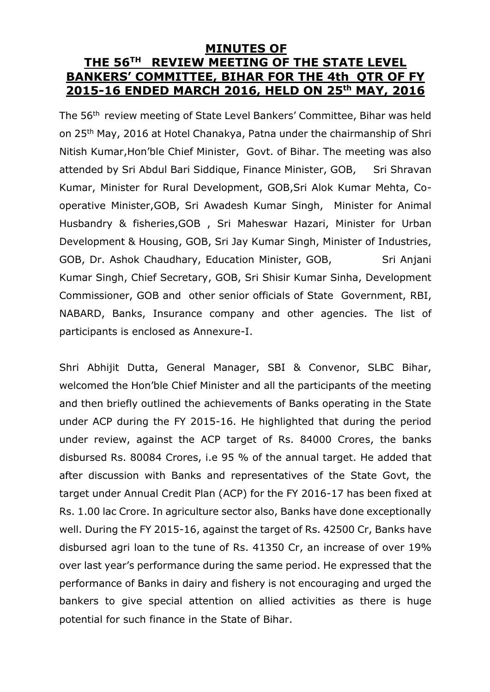## **MINUTES OF THE 56TH REVIEW MEETING OF THE STATE LEVEL BANKERS' COMMITTEE, BIHAR FOR THE 4th QTR OF FY 2015-16 ENDED MARCH 2016, HELD ON 25th MAY, 2016**

The 56<sup>th</sup> review meeting of State Level Bankers' Committee, Bihar was held on 25th May, 2016 at Hotel Chanakya, Patna under the chairmanship of Shri Nitish Kumar,Hon'ble Chief Minister, Govt. of Bihar. The meeting was also attended by Sri Abdul Bari Siddique, Finance Minister, GOB, Sri Shravan Kumar, Minister for Rural Development, GOB,Sri Alok Kumar Mehta, Cooperative Minister,GOB, Sri Awadesh Kumar Singh, Minister for Animal Husbandry & fisheries,GOB , Sri Maheswar Hazari, Minister for Urban Development & Housing, GOB, Sri Jay Kumar Singh, Minister of Industries, GOB, Dr. Ashok Chaudhary, Education Minister, GOB, Sri Anjani Kumar Singh, Chief Secretary, GOB, Sri Shisir Kumar Sinha, Development Commissioner, GOB and other senior officials of State Government, RBI, NABARD, Banks, Insurance company and other agencies. The list of participants is enclosed as Annexure-I.

Shri Abhijit Dutta, General Manager, SBI & Convenor, SLBC Bihar, welcomed the Hon'ble Chief Minister and all the participants of the meeting and then briefly outlined the achievements of Banks operating in the State under ACP during the FY 2015-16. He highlighted that during the period under review, against the ACP target of Rs. 84000 Crores, the banks disbursed Rs. 80084 Crores, i.e 95 % of the annual target. He added that after discussion with Banks and representatives of the State Govt, the target under Annual Credit Plan (ACP) for the FY 2016-17 has been fixed at Rs. 1.00 lac Crore. In agriculture sector also, Banks have done exceptionally well. During the FY 2015-16, against the target of Rs. 42500 Cr, Banks have disbursed agri loan to the tune of Rs. 41350 Cr, an increase of over 19% over last year's performance during the same period. He expressed that the performance of Banks in dairy and fishery is not encouraging and urged the bankers to give special attention on allied activities as there is huge potential for such finance in the State of Bihar.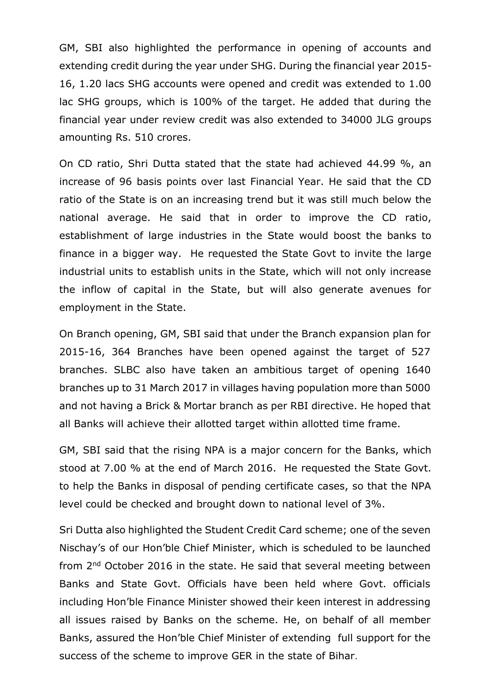GM, SBI also highlighted the performance in opening of accounts and extending credit during the year under SHG. During the financial year 2015- 16, 1.20 lacs SHG accounts were opened and credit was extended to 1.00 lac SHG groups, which is 100% of the target. He added that during the financial year under review credit was also extended to 34000 JLG groups amounting Rs. 510 crores.

On CD ratio, Shri Dutta stated that the state had achieved 44.99 %, an increase of 96 basis points over last Financial Year. He said that the CD ratio of the State is on an increasing trend but it was still much below the national average. He said that in order to improve the CD ratio, establishment of large industries in the State would boost the banks to finance in a bigger way. He requested the State Govt to invite the large industrial units to establish units in the State, which will not only increase the inflow of capital in the State, but will also generate avenues for employment in the State.

On Branch opening, GM, SBI said that under the Branch expansion plan for 2015-16, 364 Branches have been opened against the target of 527 branches. SLBC also have taken an ambitious target of opening 1640 branches up to 31 March 2017 in villages having population more than 5000 and not having a Brick & Mortar branch as per RBI directive. He hoped that all Banks will achieve their allotted target within allotted time frame.

GM, SBI said that the rising NPA is a major concern for the Banks, which stood at 7.00 % at the end of March 2016. He requested the State Govt. to help the Banks in disposal of pending certificate cases, so that the NPA level could be checked and brought down to national level of 3%.

Sri Dutta also highlighted the Student Credit Card scheme; one of the seven Nischay's of our Hon'ble Chief Minister, which is scheduled to be launched from 2nd October 2016 in the state. He said that several meeting between Banks and State Govt. Officials have been held where Govt. officials including Hon'ble Finance Minister showed their keen interest in addressing all issues raised by Banks on the scheme. He, on behalf of all member Banks, assured the Hon'ble Chief Minister of extending full support for the success of the scheme to improve GER in the state of Bihar.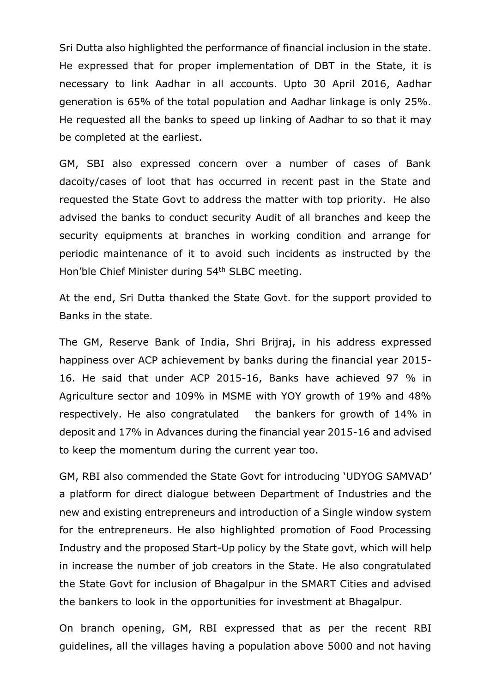Sri Dutta also highlighted the performance of financial inclusion in the state. He expressed that for proper implementation of DBT in the State, it is necessary to link Aadhar in all accounts. Upto 30 April 2016, Aadhar generation is 65% of the total population and Aadhar linkage is only 25%. He requested all the banks to speed up linking of Aadhar to so that it may be completed at the earliest.

GM, SBI also expressed concern over a number of cases of Bank dacoity/cases of loot that has occurred in recent past in the State and requested the State Govt to address the matter with top priority. He also advised the banks to conduct security Audit of all branches and keep the security equipments at branches in working condition and arrange for periodic maintenance of it to avoid such incidents as instructed by the Hon'ble Chief Minister during 54<sup>th</sup> SLBC meeting.

At the end, Sri Dutta thanked the State Govt. for the support provided to Banks in the state.

The GM, Reserve Bank of India, Shri Brijraj, in his address expressed happiness over ACP achievement by banks during the financial year 2015- 16. He said that under ACP 2015-16, Banks have achieved 97 % in Agriculture sector and 109% in MSME with YOY growth of 19% and 48% respectively. He also congratulated the bankers for growth of 14% in deposit and 17% in Advances during the financial year 2015-16 and advised to keep the momentum during the current year too.

GM, RBI also commended the State Govt for introducing 'UDYOG SAMVAD' a platform for direct dialogue between Department of Industries and the new and existing entrepreneurs and introduction of a Single window system for the entrepreneurs. He also highlighted promotion of Food Processing Industry and the proposed Start-Up policy by the State govt, which will help in increase the number of job creators in the State. He also congratulated the State Govt for inclusion of Bhagalpur in the SMART Cities and advised the bankers to look in the opportunities for investment at Bhagalpur.

On branch opening, GM, RBI expressed that as per the recent RBI guidelines, all the villages having a population above 5000 and not having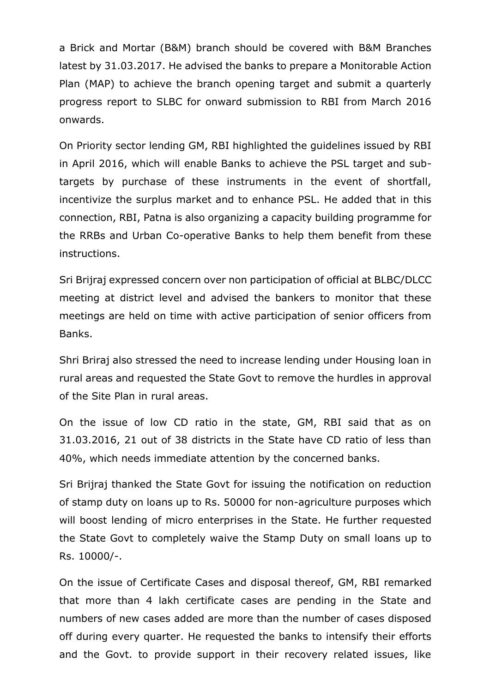a Brick and Mortar (B&M) branch should be covered with B&M Branches latest by 31.03.2017. He advised the banks to prepare a Monitorable Action Plan (MAP) to achieve the branch opening target and submit a quarterly progress report to SLBC for onward submission to RBI from March 2016 onwards.

On Priority sector lending GM, RBI highlighted the guidelines issued by RBI in April 2016, which will enable Banks to achieve the PSL target and subtargets by purchase of these instruments in the event of shortfall, incentivize the surplus market and to enhance PSL. He added that in this connection, RBI, Patna is also organizing a capacity building programme for the RRBs and Urban Co-operative Banks to help them benefit from these instructions.

Sri Brijraj expressed concern over non participation of official at BLBC/DLCC meeting at district level and advised the bankers to monitor that these meetings are held on time with active participation of senior officers from Banks.

Shri Briraj also stressed the need to increase lending under Housing loan in rural areas and requested the State Govt to remove the hurdles in approval of the Site Plan in rural areas.

On the issue of low CD ratio in the state, GM, RBI said that as on 31.03.2016, 21 out of 38 districts in the State have CD ratio of less than 40%, which needs immediate attention by the concerned banks.

Sri Brijraj thanked the State Govt for issuing the notification on reduction of stamp duty on loans up to Rs. 50000 for non-agriculture purposes which will boost lending of micro enterprises in the State. He further requested the State Govt to completely waive the Stamp Duty on small loans up to Rs. 10000/-.

On the issue of Certificate Cases and disposal thereof, GM, RBI remarked that more than 4 lakh certificate cases are pending in the State and numbers of new cases added are more than the number of cases disposed off during every quarter. He requested the banks to intensify their efforts and the Govt. to provide support in their recovery related issues, like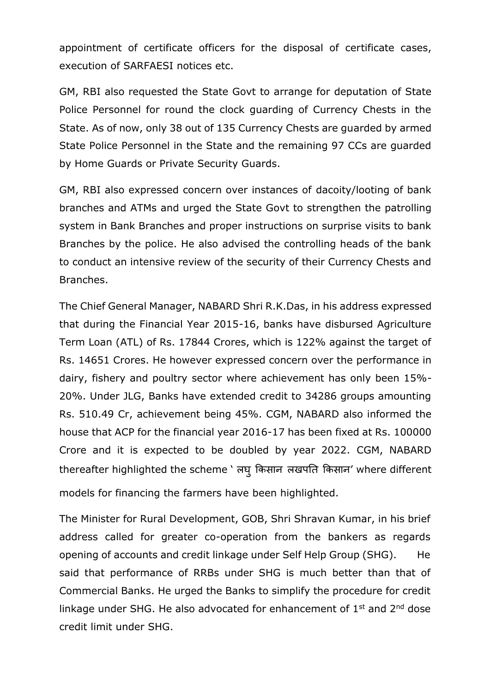appointment of certificate officers for the disposal of certificate cases, execution of SARFAESI notices etc.

GM, RBI also requested the State Govt to arrange for deputation of State Police Personnel for round the clock guarding of Currency Chests in the State. As of now, only 38 out of 135 Currency Chests are guarded by armed State Police Personnel in the State and the remaining 97 CCs are guarded by Home Guards or Private Security Guards.

GM, RBI also expressed concern over instances of dacoity/looting of bank branches and ATMs and urged the State Govt to strengthen the patrolling system in Bank Branches and proper instructions on surprise visits to bank Branches by the police. He also advised the controlling heads of the bank to conduct an intensive review of the security of their Currency Chests and Branches.

The Chief General Manager, NABARD Shri R.K.Das, in his address expressed that during the Financial Year 2015-16, banks have disbursed Agriculture Term Loan (ATL) of Rs. 17844 Crores, which is 122% against the target of Rs. 14651 Crores. He however expressed concern over the performance in dairy, fishery and poultry sector where achievement has only been 15%- 20%. Under JLG, Banks have extended credit to 34286 groups amounting Rs. 510.49 Cr, achievement being 45%. CGM, NABARD also informed the house that ACP for the financial year 2016-17 has been fixed at Rs. 100000 Crore and it is expected to be doubled by year 2022. CGM, NABARD thereafter highlighted the scheme ' लघुकिसान लखपति किसान' where different models for financing the farmers have been highlighted.

The Minister for Rural Development, GOB, Shri Shravan Kumar, in his brief address called for greater co-operation from the bankers as regards opening of accounts and credit linkage under Self Help Group (SHG). He said that performance of RRBs under SHG is much better than that of Commercial Banks. He urged the Banks to simplify the procedure for credit linkage under SHG. He also advocated for enhancement of  $1<sup>st</sup>$  and  $2<sup>nd</sup>$  dose credit limit under SHG.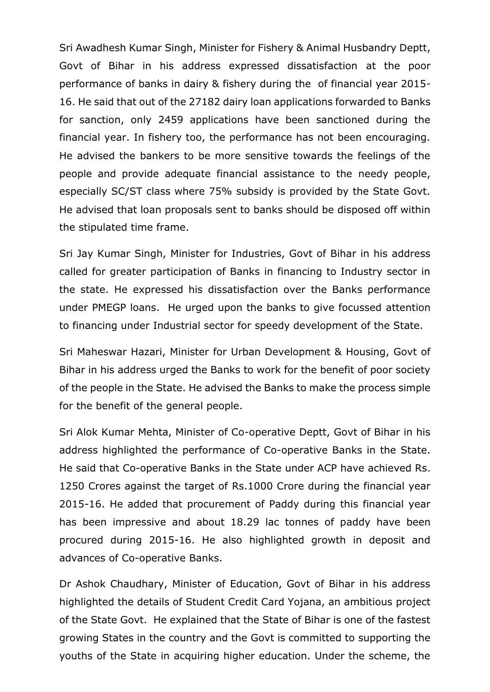Sri Awadhesh Kumar Singh, Minister for Fishery & Animal Husbandry Deptt, Govt of Bihar in his address expressed dissatisfaction at the poor performance of banks in dairy & fishery during the of financial year 2015- 16. He said that out of the 27182 dairy loan applications forwarded to Banks for sanction, only 2459 applications have been sanctioned during the financial year. In fishery too, the performance has not been encouraging. He advised the bankers to be more sensitive towards the feelings of the people and provide adequate financial assistance to the needy people, especially SC/ST class where 75% subsidy is provided by the State Govt. He advised that loan proposals sent to banks should be disposed off within the stipulated time frame.

Sri Jay Kumar Singh, Minister for Industries, Govt of Bihar in his address called for greater participation of Banks in financing to Industry sector in the state. He expressed his dissatisfaction over the Banks performance under PMEGP loans. He urged upon the banks to give focussed attention to financing under Industrial sector for speedy development of the State.

Sri Maheswar Hazari, Minister for Urban Development & Housing, Govt of Bihar in his address urged the Banks to work for the benefit of poor society of the people in the State. He advised the Banks to make the process simple for the benefit of the general people.

Sri Alok Kumar Mehta, Minister of Co-operative Deptt, Govt of Bihar in his address highlighted the performance of Co-operative Banks in the State. He said that Co-operative Banks in the State under ACP have achieved Rs. 1250 Crores against the target of Rs.1000 Crore during the financial year 2015-16. He added that procurement of Paddy during this financial year has been impressive and about 18.29 lac tonnes of paddy have been procured during 2015-16. He also highlighted growth in deposit and advances of Co-operative Banks.

Dr Ashok Chaudhary, Minister of Education, Govt of Bihar in his address highlighted the details of Student Credit Card Yojana, an ambitious project of the State Govt. He explained that the State of Bihar is one of the fastest growing States in the country and the Govt is committed to supporting the youths of the State in acquiring higher education. Under the scheme, the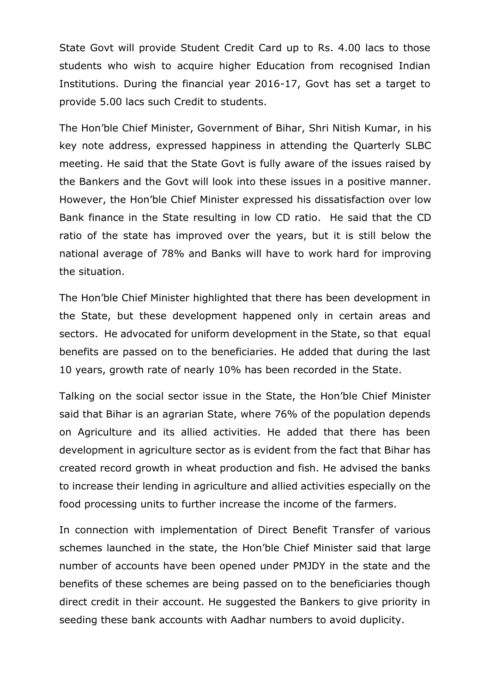State Govt will provide Student Credit Card up to Rs. 4.00 lacs to those students who wish to acquire higher Education from recognised Indian Institutions. During the financial year 2016-17, Govt has set a target to provide 5.00 lacs such Credit to students.

The Hon'ble Chief Minister, Government of Bihar, Shri Nitish Kumar, in his key note address, expressed happiness in attending the Quarterly SLBC meeting. He said that the State Govt is fully aware of the issues raised by the Bankers and the Govt will look into these issues in a positive manner. However, the Hon'ble Chief Minister expressed his dissatisfaction over low Bank finance in the State resulting in low CD ratio. He said that the CD ratio of the state has improved over the years, but it is still below the national average of 78% and Banks will have to work hard for improving the situation.

The Hon'ble Chief Minister highlighted that there has been development in the State, but these development happened only in certain areas and sectors. He advocated for uniform development in the State, so that equal benefits are passed on to the beneficiaries. He added that during the last 10 years, growth rate of nearly 10% has been recorded in the State.

Talking on the social sector issue in the State, the Hon'ble Chief Minister said that Bihar is an agrarian State, where 76% of the population depends on Agriculture and its allied activities. He added that there has been development in agriculture sector as is evident from the fact that Bihar has created record growth in wheat production and fish. He advised the banks to increase their lending in agriculture and allied activities especially on the food processing units to further increase the income of the farmers.

In connection with implementation of Direct Benefit Transfer of various schemes launched in the state, the Hon'ble Chief Minister said that large number of accounts have been opened under PMJDY in the state and the benefits of these schemes are being passed on to the beneficiaries though direct credit in their account. He suggested the Bankers to give priority in seeding these bank accounts with Aadhar numbers to avoid duplicity.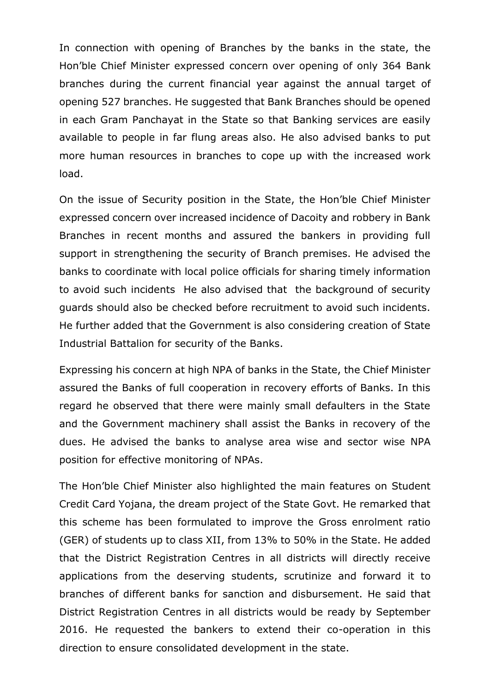In connection with opening of Branches by the banks in the state, the Hon'ble Chief Minister expressed concern over opening of only 364 Bank branches during the current financial year against the annual target of opening 527 branches. He suggested that Bank Branches should be opened in each Gram Panchayat in the State so that Banking services are easily available to people in far flung areas also. He also advised banks to put more human resources in branches to cope up with the increased work load.

On the issue of Security position in the State, the Hon'ble Chief Minister expressed concern over increased incidence of Dacoity and robbery in Bank Branches in recent months and assured the bankers in providing full support in strengthening the security of Branch premises. He advised the banks to coordinate with local police officials for sharing timely information to avoid such incidents He also advised that the background of security guards should also be checked before recruitment to avoid such incidents. He further added that the Government is also considering creation of State Industrial Battalion for security of the Banks.

Expressing his concern at high NPA of banks in the State, the Chief Minister assured the Banks of full cooperation in recovery efforts of Banks. In this regard he observed that there were mainly small defaulters in the State and the Government machinery shall assist the Banks in recovery of the dues. He advised the banks to analyse area wise and sector wise NPA position for effective monitoring of NPAs.

The Hon'ble Chief Minister also highlighted the main features on Student Credit Card Yojana, the dream project of the State Govt. He remarked that this scheme has been formulated to improve the Gross enrolment ratio (GER) of students up to class XII, from 13% to 50% in the State. He added that the District Registration Centres in all districts will directly receive applications from the deserving students, scrutinize and forward it to branches of different banks for sanction and disbursement. He said that District Registration Centres in all districts would be ready by September 2016. He requested the bankers to extend their co-operation in this direction to ensure consolidated development in the state.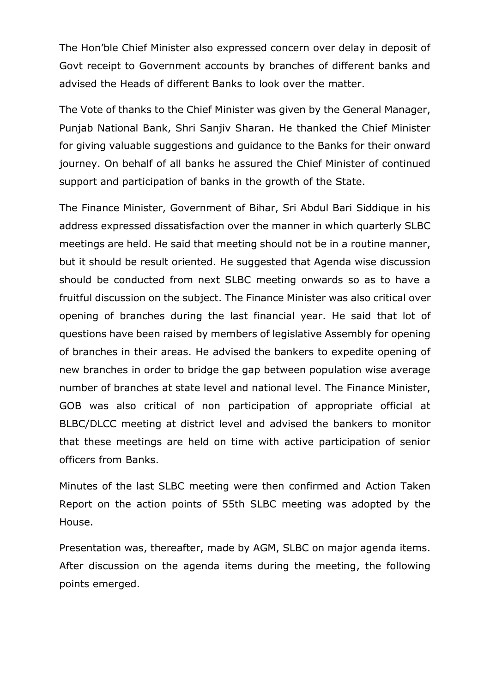The Hon'ble Chief Minister also expressed concern over delay in deposit of Govt receipt to Government accounts by branches of different banks and advised the Heads of different Banks to look over the matter.

The Vote of thanks to the Chief Minister was given by the General Manager, Punjab National Bank, Shri Sanjiv Sharan. He thanked the Chief Minister for giving valuable suggestions and guidance to the Banks for their onward journey. On behalf of all banks he assured the Chief Minister of continued support and participation of banks in the growth of the State.

The Finance Minister, Government of Bihar, Sri Abdul Bari Siddique in his address expressed dissatisfaction over the manner in which quarterly SLBC meetings are held. He said that meeting should not be in a routine manner, but it should be result oriented. He suggested that Agenda wise discussion should be conducted from next SLBC meeting onwards so as to have a fruitful discussion on the subject. The Finance Minister was also critical over opening of branches during the last financial year. He said that lot of questions have been raised by members of legislative Assembly for opening of branches in their areas. He advised the bankers to expedite opening of new branches in order to bridge the gap between population wise average number of branches at state level and national level. The Finance Minister, GOB was also critical of non participation of appropriate official at BLBC/DLCC meeting at district level and advised the bankers to monitor that these meetings are held on time with active participation of senior officers from Banks.

Minutes of the last SLBC meeting were then confirmed and Action Taken Report on the action points of 55th SLBC meeting was adopted by the House.

Presentation was, thereafter, made by AGM, SLBC on major agenda items. After discussion on the agenda items during the meeting, the following points emerged.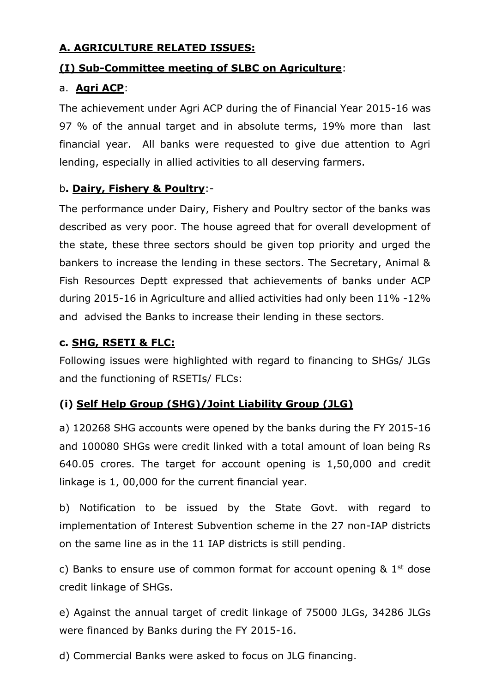## **A. AGRICULTURE RELATED ISSUES:**

### **(I) Sub-Committee meeting of SLBC on Agriculture**:

#### a. **Agri ACP**:

The achievement under Agri ACP during the of Financial Year 2015-16 was 97 % of the annual target and in absolute terms, 19% more than last financial year. All banks were requested to give due attention to Agri lending, especially in allied activities to all deserving farmers.

#### b**. Dairy, Fishery & Poultry**:-

The performance under Dairy, Fishery and Poultry sector of the banks was described as very poor. The house agreed that for overall development of the state, these three sectors should be given top priority and urged the bankers to increase the lending in these sectors. The Secretary, Animal & Fish Resources Deptt expressed that achievements of banks under ACP during 2015-16 in Agriculture and allied activities had only been 11% -12% and advised the Banks to increase their lending in these sectors.

#### **c. SHG, RSETI & FLC:**

Following issues were highlighted with regard to financing to SHGs/ JLGs and the functioning of RSETIs/ FLCs:

### **(i) Self Help Group (SHG)/Joint Liability Group (JLG)**

a) 120268 SHG accounts were opened by the banks during the FY 2015-16 and 100080 SHGs were credit linked with a total amount of loan being Rs 640.05 crores. The target for account opening is 1,50,000 and credit linkage is 1, 00,000 for the current financial year.

b) Notification to be issued by the State Govt. with regard to implementation of Interest Subvention scheme in the 27 non-IAP districts on the same line as in the 11 IAP districts is still pending.

c) Banks to ensure use of common format for account opening  $\&$  1<sup>st</sup> dose credit linkage of SHGs.

e) Against the annual target of credit linkage of 75000 JLGs, 34286 JLGs were financed by Banks during the FY 2015-16.

d) Commercial Banks were asked to focus on JLG financing.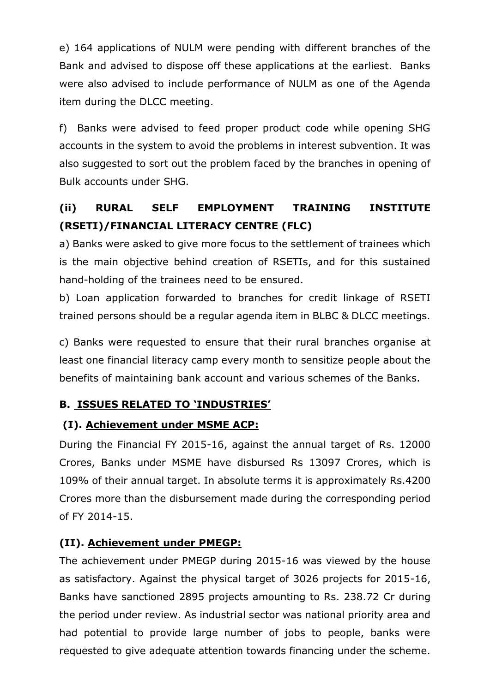e) 164 applications of NULM were pending with different branches of the Bank and advised to dispose off these applications at the earliest. Banks were also advised to include performance of NULM as one of the Agenda item during the DLCC meeting.

f) Banks were advised to feed proper product code while opening SHG accounts in the system to avoid the problems in interest subvention. It was also suggested to sort out the problem faced by the branches in opening of Bulk accounts under SHG.

# **(ii) RURAL SELF EMPLOYMENT TRAINING INSTITUTE (RSETI)/FINANCIAL LITERACY CENTRE (FLC)**

a) Banks were asked to give more focus to the settlement of trainees which is the main objective behind creation of RSETIs, and for this sustained hand-holding of the trainees need to be ensured.

b) Loan application forwarded to branches for credit linkage of RSETI trained persons should be a regular agenda item in BLBC & DLCC meetings.

c) Banks were requested to ensure that their rural branches organise at least one financial literacy camp every month to sensitize people about the benefits of maintaining bank account and various schemes of the Banks.

## **B. ISSUES RELATED TO 'INDUSTRIES'**

### **(I). Achievement under MSME ACP:**

During the Financial FY 2015-16, against the annual target of Rs. 12000 Crores, Banks under MSME have disbursed Rs 13097 Crores, which is 109% of their annual target. In absolute terms it is approximately Rs.4200 Crores more than the disbursement made during the corresponding period of FY 2014-15.

## **(II). Achievement under PMEGP:**

The achievement under PMEGP during 2015-16 was viewed by the house as satisfactory. Against the physical target of 3026 projects for 2015-16, Banks have sanctioned 2895 projects amounting to Rs. 238.72 Cr during the period under review. As industrial sector was national priority area and had potential to provide large number of jobs to people, banks were requested to give adequate attention towards financing under the scheme.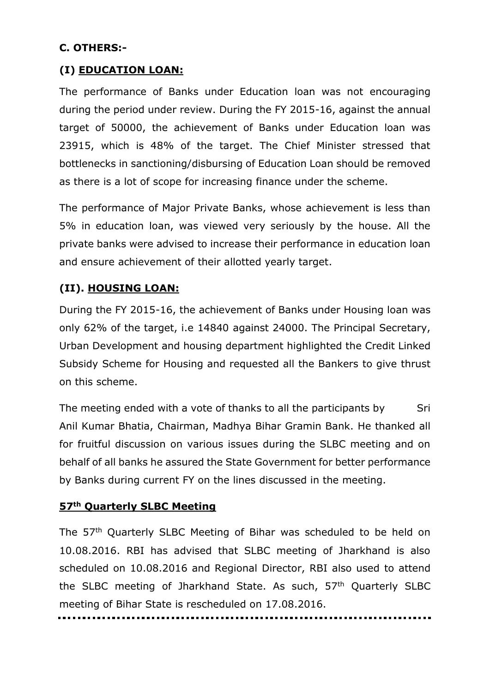## **C. OTHERS:-**

### **(I) EDUCATION LOAN:**

The performance of Banks under Education loan was not encouraging during the period under review. During the FY 2015-16, against the annual target of 50000, the achievement of Banks under Education loan was 23915, which is 48% of the target. The Chief Minister stressed that bottlenecks in sanctioning/disbursing of Education Loan should be removed as there is a lot of scope for increasing finance under the scheme.

The performance of Major Private Banks, whose achievement is less than 5% in education loan, was viewed very seriously by the house. All the private banks were advised to increase their performance in education loan and ensure achievement of their allotted yearly target.

## **(II). HOUSING LOAN:**

During the FY 2015-16, the achievement of Banks under Housing loan was only 62% of the target, i.e 14840 against 24000. The Principal Secretary, Urban Development and housing department highlighted the Credit Linked Subsidy Scheme for Housing and requested all the Bankers to give thrust on this scheme.

The meeting ended with a vote of thanks to all the participants by Sri Anil Kumar Bhatia, Chairman, Madhya Bihar Gramin Bank. He thanked all for fruitful discussion on various issues during the SLBC meeting and on behalf of all banks he assured the State Government for better performance by Banks during current FY on the lines discussed in the meeting.

### **57th Quarterly SLBC Meeting**

The 57th Quarterly SLBC Meeting of Bihar was scheduled to be held on 10.08.2016. RBI has advised that SLBC meeting of Jharkhand is also scheduled on 10.08.2016 and Regional Director, RBI also used to attend the SLBC meeting of Jharkhand State. As such, 57<sup>th</sup> Quarterly SLBC meeting of Bihar State is rescheduled on 17.08.2016.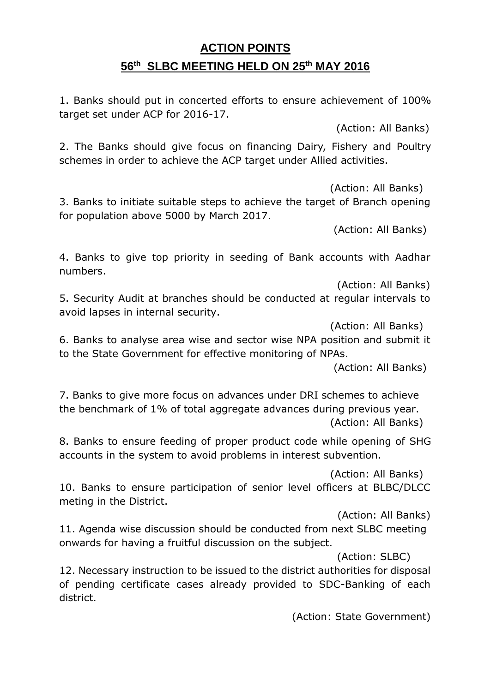### **ACTION POINTS**

## **56 th SLBC MEETING HELD ON 25th MAY 2016**

1. Banks should put in concerted efforts to ensure achievement of 100% target set under ACP for 2016-17.

(Action: All Banks)

2. The Banks should give focus on financing Dairy, Fishery and Poultry schemes in order to achieve the ACP target under Allied activities.

(Action: All Banks)

3. Banks to initiate suitable steps to achieve the target of Branch opening for population above 5000 by March 2017.

(Action: All Banks)

4. Banks to give top priority in seeding of Bank accounts with Aadhar numbers.

(Action: All Banks)

5. Security Audit at branches should be conducted at regular intervals to avoid lapses in internal security.

(Action: All Banks)

6. Banks to analyse area wise and sector wise NPA position and submit it to the State Government for effective monitoring of NPAs.

(Action: All Banks)

7. Banks to give more focus on advances under DRI schemes to achieve the benchmark of 1% of total aggregate advances during previous year. (Action: All Banks)

8. Banks to ensure feeding of proper product code while opening of SHG accounts in the system to avoid problems in interest subvention.

(Action: All Banks)

10. Banks to ensure participation of senior level officers at BLBC/DLCC meting in the District.

(Action: All Banks)

11. Agenda wise discussion should be conducted from next SLBC meeting onwards for having a fruitful discussion on the subject.

(Action: SLBC)

12. Necessary instruction to be issued to the district authorities for disposal of pending certificate cases already provided to SDC-Banking of each district.

(Action: State Government)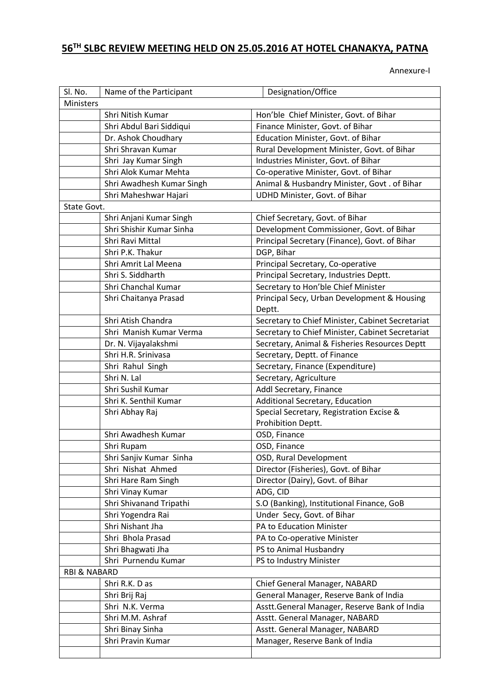# **56TH SLBC REVIEW MEETING HELD ON 25.05.2016 AT HOTEL CHANAKYA, PATNA**

Annexure-I

| Sl. No.                 | Name of the Participant   | Designation/Office                               |  |  |
|-------------------------|---------------------------|--------------------------------------------------|--|--|
| Ministers               |                           |                                                  |  |  |
|                         | Shri Nitish Kumar         | Hon'ble Chief Minister, Govt. of Bihar           |  |  |
|                         | Shri Abdul Bari Siddiqui  | Finance Minister, Govt. of Bihar                 |  |  |
|                         | Dr. Ashok Choudhary       | Education Minister, Govt. of Bihar               |  |  |
|                         | Shri Shravan Kumar        | Rural Development Minister, Govt. of Bihar       |  |  |
|                         | Shri Jay Kumar Singh      | Industries Minister, Govt. of Bihar              |  |  |
|                         | Shri Alok Kumar Mehta     | Co-operative Minister, Govt. of Bihar            |  |  |
|                         | Shri Awadhesh Kumar Singh | Animal & Husbandry Minister, Govt. of Bihar      |  |  |
|                         | Shri Maheshwar Hajari     | UDHD Minister, Govt. of Bihar                    |  |  |
| State Govt.             |                           |                                                  |  |  |
|                         | Shri Anjani Kumar Singh   | Chief Secretary, Govt. of Bihar                  |  |  |
|                         | Shri Shishir Kumar Sinha  | Development Commissioner, Govt. of Bihar         |  |  |
|                         | Shri Ravi Mittal          | Principal Secretary (Finance), Govt. of Bihar    |  |  |
|                         | Shri P.K. Thakur          | DGP, Bihar                                       |  |  |
|                         | Shri Amrit Lal Meena      | Principal Secretary, Co-operative                |  |  |
|                         | Shri S. Siddharth         | Principal Secretary, Industries Deptt.           |  |  |
|                         | Shri Chanchal Kumar       | Secretary to Hon'ble Chief Minister              |  |  |
|                         | Shri Chaitanya Prasad     | Principal Secy, Urban Development & Housing      |  |  |
|                         |                           | Deptt.                                           |  |  |
|                         | Shri Atish Chandra        | Secretary to Chief Minister, Cabinet Secretariat |  |  |
|                         | Shri Manish Kumar Verma   | Secretary to Chief Minister, Cabinet Secretariat |  |  |
|                         | Dr. N. Vijayalakshmi      | Secretary, Animal & Fisheries Resources Deptt    |  |  |
|                         | Shri H.R. Srinivasa       | Secretary, Deptt. of Finance                     |  |  |
|                         | Shri Rahul Singh          | Secretary, Finance (Expenditure)                 |  |  |
|                         | Shri N. Lal               | Secretary, Agriculture                           |  |  |
|                         | Shri Sushil Kumar         | Addl Secretary, Finance                          |  |  |
|                         | Shri K. Senthil Kumar     | Additional Secretary, Education                  |  |  |
|                         | Shri Abhay Raj            | Special Secretary, Registration Excise &         |  |  |
|                         |                           | Prohibition Deptt.                               |  |  |
|                         | Shri Awadhesh Kumar       | OSD, Finance                                     |  |  |
|                         | Shri Rupam                | OSD, Finance                                     |  |  |
|                         | Shri Sanjiv Kumar Sinha   | OSD, Rural Development                           |  |  |
|                         | Shri Nishat Ahmed         | Director (Fisheries), Govt. of Bihar             |  |  |
|                         | Shri Hare Ram Singh       | Director (Dairy), Govt. of Bihar                 |  |  |
|                         | Shri Vinay Kumar          | ADG, CID                                         |  |  |
|                         | Shri Shivanand Tripathi   | S.O (Banking), Institutional Finance, GoB        |  |  |
|                         | Shri Yogendra Rai         | Under Secy, Govt. of Bihar                       |  |  |
|                         | Shri Nishant Jha          | PA to Education Minister                         |  |  |
|                         | Shri Bhola Prasad         | PA to Co-operative Minister                      |  |  |
|                         | Shri Bhagwati Jha         | PS to Animal Husbandry                           |  |  |
|                         | Shri Purnendu Kumar       | PS to Industry Minister                          |  |  |
| <b>RBI &amp; NABARD</b> |                           |                                                  |  |  |
|                         | Shri R.K. D as            | Chief General Manager, NABARD                    |  |  |
|                         | Shri Brij Raj             | General Manager, Reserve Bank of India           |  |  |
|                         | Shri N.K. Verma           | Asstt. General Manager, Reserve Bank of India    |  |  |
|                         | Shri M.M. Ashraf          | Asstt. General Manager, NABARD                   |  |  |
|                         | Shri Binay Sinha          | Asstt. General Manager, NABARD                   |  |  |
|                         | Shri Pravin Kumar         | Manager, Reserve Bank of India                   |  |  |
|                         |                           |                                                  |  |  |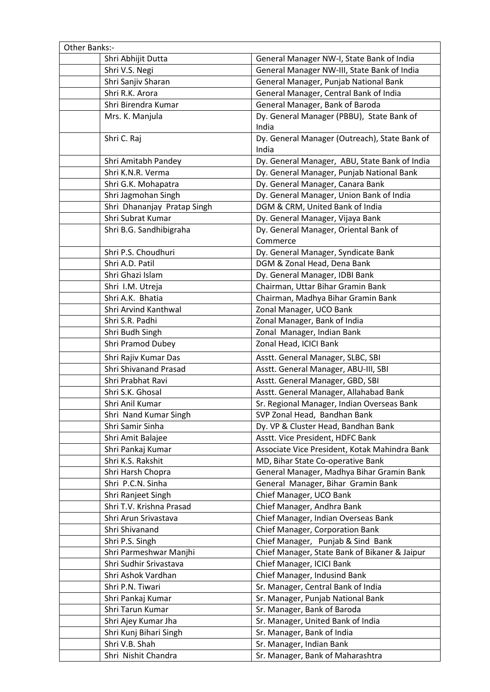| Other Banks:- |                             |                                               |  |  |
|---------------|-----------------------------|-----------------------------------------------|--|--|
|               | Shri Abhijit Dutta          | General Manager NW-I, State Bank of India     |  |  |
|               | Shri V.S. Negi              | General Manager NW-III, State Bank of India   |  |  |
|               | Shri Sanjiv Sharan          | General Manager, Punjab National Bank         |  |  |
|               | Shri R.K. Arora             | General Manager, Central Bank of India        |  |  |
|               | Shri Birendra Kumar         | General Manager, Bank of Baroda               |  |  |
|               | Mrs. K. Manjula             | Dy. General Manager (PBBU), State Bank of     |  |  |
|               |                             | India                                         |  |  |
|               | Shri C. Raj                 | Dy. General Manager (Outreach), State Bank of |  |  |
|               |                             | India                                         |  |  |
|               | Shri Amitabh Pandey         | Dy. General Manager, ABU, State Bank of India |  |  |
|               | Shri K.N.R. Verma           | Dy. General Manager, Punjab National Bank     |  |  |
|               | Shri G.K. Mohapatra         | Dy. General Manager, Canara Bank              |  |  |
|               | Shri Jagmohan Singh         | Dy. General Manager, Union Bank of India      |  |  |
|               | Shri Dhananjay Pratap Singh | DGM & CRM, United Bank of India               |  |  |
|               | Shri Subrat Kumar           | Dy. General Manager, Vijaya Bank              |  |  |
|               | Shri B.G. Sandhibigraha     | Dy. General Manager, Oriental Bank of         |  |  |
|               |                             | Commerce                                      |  |  |
|               | Shri P.S. Choudhuri         | Dy. General Manager, Syndicate Bank           |  |  |
|               | Shri A.D. Patil             | DGM & Zonal Head, Dena Bank                   |  |  |
|               | Shri Ghazi Islam            | Dy. General Manager, IDBI Bank                |  |  |
|               | Shri I.M. Utreja            | Chairman, Uttar Bihar Gramin Bank             |  |  |
|               | Shri A.K. Bhatia            | Chairman, Madhya Bihar Gramin Bank            |  |  |
|               | Shri Arvind Kanthwal        | Zonal Manager, UCO Bank                       |  |  |
|               | Shri S.R. Padhi             | Zonal Manager, Bank of India                  |  |  |
|               | Shri Budh Singh             | Zonal Manager, Indian Bank                    |  |  |
|               | Shri Pramod Dubey           | Zonal Head, ICICI Bank                        |  |  |
|               | Shri Rajiv Kumar Das        | Asstt. General Manager, SLBC, SBI             |  |  |
|               | Shri Shivanand Prasad       | Asstt. General Manager, ABU-III, SBI          |  |  |
|               | Shri Prabhat Ravi           | Asstt. General Manager, GBD, SBI              |  |  |
|               | Shri S.K. Ghosal            | Asstt. General Manager, Allahabad Bank        |  |  |
|               | Shri Anil Kumar             | Sr. Regional Manager, Indian Overseas Bank    |  |  |
|               | Shri Nand Kumar Singh       | SVP Zonal Head, Bandhan Bank                  |  |  |
|               | Shri Samir Sinha            | Dy. VP & Cluster Head, Bandhan Bank           |  |  |
|               | Shri Amit Balajee           | Asstt. Vice President, HDFC Bank              |  |  |
|               | Shri Pankaj Kumar           | Associate Vice President, Kotak Mahindra Bank |  |  |
|               | Shri K.S. Rakshit           | MD, Bihar State Co-operative Bank             |  |  |
|               | Shri Harsh Chopra           | General Manager, Madhya Bihar Gramin Bank     |  |  |
|               | Shri P.C.N. Sinha           | General Manager, Bihar Gramin Bank            |  |  |
|               | Shri Ranjeet Singh          | Chief Manager, UCO Bank                       |  |  |
|               | Shri T.V. Krishna Prasad    | Chief Manager, Andhra Bank                    |  |  |
|               | Shri Arun Srivastava        | Chief Manager, Indian Overseas Bank           |  |  |
|               | Shri Shivanand              | Chief Manager, Corporation Bank               |  |  |
|               | Shri P.S. Singh             | Chief Manager, Punjab & Sind Bank             |  |  |
|               | Shri Parmeshwar Manjhi      | Chief Manager, State Bank of Bikaner & Jaipur |  |  |
|               | Shri Sudhir Srivastava      | Chief Manager, ICICI Bank                     |  |  |
|               | Shri Ashok Vardhan          | Chief Manager, Indusind Bank                  |  |  |
|               | Shri P.N. Tiwari            | Sr. Manager, Central Bank of India            |  |  |
|               | Shri Pankaj Kumar           | Sr. Manager, Punjab National Bank             |  |  |
|               | Shri Tarun Kumar            | Sr. Manager, Bank of Baroda                   |  |  |
|               | Shri Ajey Kumar Jha         | Sr. Manager, United Bank of India             |  |  |
|               | Shri Kunj Bihari Singh      | Sr. Manager, Bank of India                    |  |  |
|               | Shri V.B. Shah              | Sr. Manager, Indian Bank                      |  |  |
|               | Shri Nishit Chandra         | Sr. Manager, Bank of Maharashtra              |  |  |